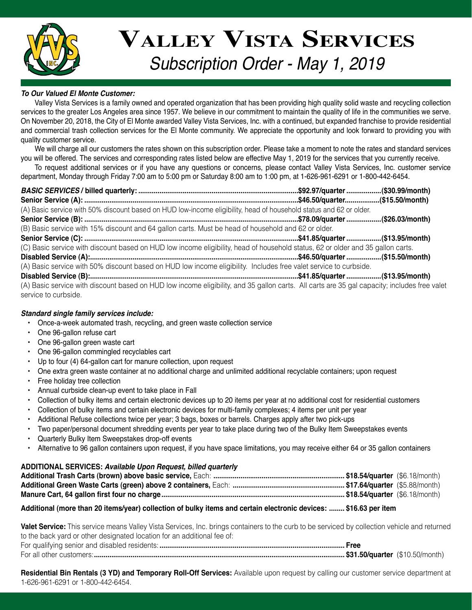

# *Subscription Order - May 1, 2019* **Valley Vista Services**

# *To Our Valued El Monte Customer:*

 Valley Vista Services is a family owned and operated organization that has been providing high quality solid waste and recycling collection services to the greater Los Angeles area since 1957. We believe in our commitment to maintain the quality of life in the communities we serve. On November 20, 2018, the City of El Monte awarded Valley Vista Services, Inc. with a continued, but expanded franchise to provide residential and commercial trash collection services for the El Monte community. We appreciate the opportunity and look forward to providing you with quality customer service.

 We will charge all our customers the rates shown on this subscription order. Please take a moment to note the rates and standard services you will be offered. The services and corresponding rates listed below are effective May 1, 2019 for the services that you currently receive.

 To request additional services or if you have any questions or concerns, please contact Valley Vista Services, Inc. customer service department, Monday through Friday 7:00 am to 5:00 pm or Saturday 8:00 am to 1:00 pm, at 1-626-961-6291 or 1-800-442-6454.

*BASIC SERVICES* **/ billed quarterly: ...................................................................................\$92.97/quarter..................(\$30.99/month) Senior Service (A): ...............................................................................................................\$46.50/quarter..................(\$15.50/month)** (A) Basic service with 50% discount based on HUD low-income eligibility, head of household status and 62 or older. **Senior Service (B): ...............................................................................................................\$78.09/quarter..................(\$26.03/month)** (B) Basic service with 15% discount and 64 gallon carts. Must be head of household and 62 or older. **Senior Service (C): ...............................................................................................................\$41.85/quarter..................(\$13.95/month)** (C) Basic service with discount based on HUD low income eligibility, head of household status, 62 or older and 35 gallon carts. **Disabled Service (A):............................................................................................................\$46.50/quarter..................(\$15.50/month)** (A) Basic service with 50% discount based on HUD low income eligibility. Includes free valet service to curbside. **Disabled Service (B):............................................................................................................\$41.85/quarter..................(\$13.95/month)** (A) Basic service with discount based on HUD low income eligibility, and 35 gallon carts. All carts are 35 gal capacity; includes free valet service to curbside.

## *Standard single family services include:*

- Once-a-week automated trash, recycling, and green waste collection service
- • One 96-gallon refuse cart
- • One 96-gallon green waste cart
- • One 96-gallon commingled recyclables cart
- • Up to four (4) 64-gallon cart for manure collection, upon request
- • One extra green waste container at no additional charge and unlimited additional recyclable containers; upon request
- • Free holiday tree collection
- • Annual curbside clean-up event to take place in Fall
- • Collection of bulky items and certain electronic devices up to 20 items per year at no additional cost for residential customers
- • Collection of bulky items and certain electronic devices for multi-family complexes; 4 items per unit per year
- Additional Refuse collections twice per year; 3 bags, boxes or barrels. Charges apply after two pick-ups
- Two paper/personal document shredding events per year to take place during two of the Bulky Item Sweepstakes events
- Quarterly Bulky Item Sweepstakes drop-off events
- Alternative to 96 gallon containers upon request, if you have space limitations, you may receive either 64 or 35 gallon containers

## **ADDITIONAL SERVICES:** *Available Upon Request, billed quarterly*

# **Additional (more than 20 items/year) collection of bulky items and certain electronic devices: ........ \$16.63 per item**

**Valet Service:** This service means Valley Vista Services, Inc. brings containers to the curb to be serviced by collection vehicle and returned to the back yard or other designated location for an additional fee of: For qualifying senior and disabled residents:**................................................................................................ Free** For all other customers:**.................................................................................................................................. \$31.50/quarter** (\$10.50/month)

**Residential Bin Rentals (3 YD) and Temporary Roll-Off Services:** Available upon request by calling our customer service department at 1-626-961-6291 or 1-800-442-6454.